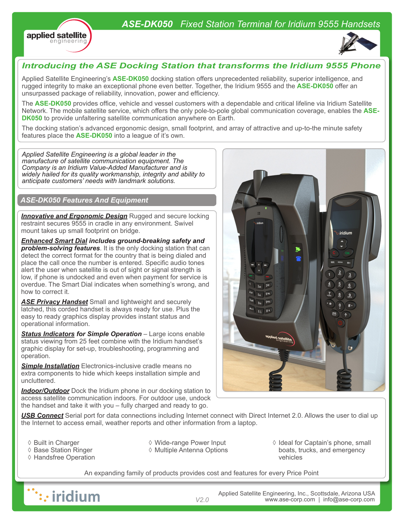## *ASE-DK050 Fixed Station Terminal for Iridium 9555 Handsets*





## *Introducing the ASE Docking Station that transforms the Iridium 9555 Phone*

Applied Satellite Engineering's **ASE-DK050** docking station offers unprecedented reliability, superior intelligence, and rugged integrity to make an exceptional phone even better. Together, the Iridium 9555 and the **ASE-DK050** offer an unsurpassed package of reliability, innovation, power and efficiency.

The **ASE-DK050** provides office, vehicle and vessel customers with a dependable and critical lifeline via Iridium Satellite Network. The mobile satellite service, which offers the only pole-to-pole global communication coverage, enables the **ASE-DK050** to provide unfaltering satellite communication anywhere on Earth.

The docking station's advanced ergonomic design, small footprint, and array of attractive and up-to-the minute safety features place the **ASE-DK050** into a league of it's own.

*Applied Satellite Engineering is a global leader in the manufacture of satellite communication equipment. The Company is an Iridium Value-Added Manufacturer and is widely hailed for its quality workmanship, integrity and ability to anticipate customers' needs with landmark solutions.* 

### *ASE-DK050 Features And Equipment*

**Innovative and Ergonomic Design** Rugged and secure locking restraint secures 9555 in cradle in any environment. Swivel mount takes up small footprint on bridge.

*Enhanced Smart Dial includes ground-breaking safety and problem-solving features*. It is the only docking station that can detect the correct format for the country that is being dialed and place the call once the number is entered. Specific audio tones alert the user when satellite is out of sight or signal strength is low, if phone is undocked and even when payment for service is overdue. The Smart Dial indicates when something's wrong, and how to correct it.

*ASE Privacy Handset* Small and lightweight and securely latched, this corded handset is always ready for use. Plus the easy to ready graphics display provides instant status and operational information.

*Status Indicators for Simple Operation* – Large icons enable status viewing from 25 feet combine with the Iridium handset's graphic display for set-up, troubleshooting, programming and operation.

**Simple Installation** Electronics-inclusive cradle means no extra components to hide which keeps installation simple and uncluttered.

**Indoor/Outdoor** Dock the Iridium phone in our docking station to access satellite communication indoors. For outdoor use, undock the handset and take it with you – fully charged and ready to go.

*USB Connect* Serial port for data connections including Internet connect with Direct Internet 2.0. Allows the user to dial up the Internet to access email, weather reports and other information from a laptop.

- ◊ Built in Charger
- ◊ Base Station Ringer
- ◊ Handsfree Operation
- ◊ Wide-range Power Input ◊ Multiple Antenna Options
- ◊ Ideal for Captain's phone, small boats, trucks, and emergency vehicles

An expanding family of products provides cost and features for every Price Point



Applied Satellite Engineering, Inc., Scottsdale, Arizona USA *V2.0* www.ase-corp.com | info@ase-corp.com